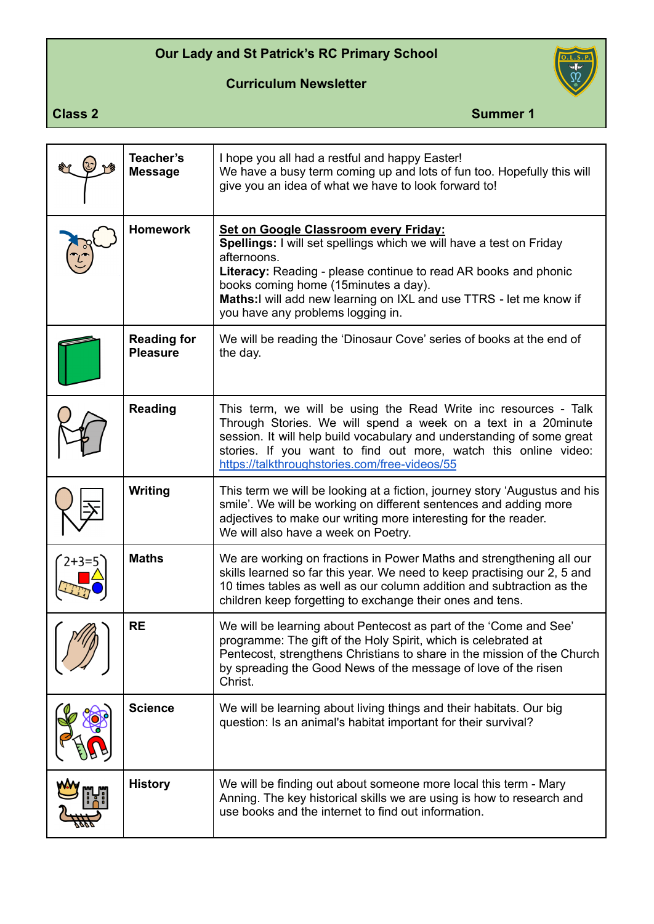## **Our Lady and St Patrick's RC Primary School**

**Curriculum Newsletter**



**Class 2** Summer 1

| Teacher's<br><b>Message</b>           | I hope you all had a restful and happy Easter!<br>We have a busy term coming up and lots of fun too. Hopefully this will<br>give you an idea of what we have to look forward to!                                                                                                                                                                                  |
|---------------------------------------|-------------------------------------------------------------------------------------------------------------------------------------------------------------------------------------------------------------------------------------------------------------------------------------------------------------------------------------------------------------------|
| <b>Homework</b>                       | <b>Set on Google Classroom every Friday:</b><br>Spellings: I will set spellings which we will have a test on Friday<br>afternoons.<br><b>Literacy:</b> Reading - please continue to read AR books and phonic<br>books coming home (15 minutes a day).<br>Maths: I will add new learning on IXL and use TTRS - let me know if<br>you have any problems logging in. |
| <b>Reading for</b><br><b>Pleasure</b> | We will be reading the 'Dinosaur Cove' series of books at the end of<br>the day.                                                                                                                                                                                                                                                                                  |
| <b>Reading</b>                        | This term, we will be using the Read Write inc resources - Talk<br>Through Stories. We will spend a week on a text in a 20minute<br>session. It will help build vocabulary and understanding of some great<br>stories. If you want to find out more, watch this online video:<br>https://talkthroughstories.com/free-videos/55                                    |
| Writing                               | This term we will be looking at a fiction, journey story 'Augustus and his<br>smile'. We will be working on different sentences and adding more<br>adjectives to make our writing more interesting for the reader.<br>We will also have a week on Poetry.                                                                                                         |
| <b>Maths</b>                          | We are working on fractions in Power Maths and strengthening all our<br>skills learned so far this year. We need to keep practising our 2, 5 and<br>10 times tables as well as our column addition and subtraction as the<br>children keep forgetting to exchange their ones and tens.                                                                            |
| <b>RE</b>                             | We will be learning about Pentecost as part of the 'Come and See'<br>programme: The gift of the Holy Spirit, which is celebrated at<br>Pentecost, strengthens Christians to share in the mission of the Church<br>by spreading the Good News of the message of love of the risen<br>Christ.                                                                       |
| <b>Science</b>                        | We will be learning about living things and their habitats. Our big<br>question: Is an animal's habitat important for their survival?                                                                                                                                                                                                                             |
| <b>History</b>                        | We will be finding out about someone more local this term - Mary<br>Anning. The key historical skills we are using is how to research and<br>use books and the internet to find out information.                                                                                                                                                                  |